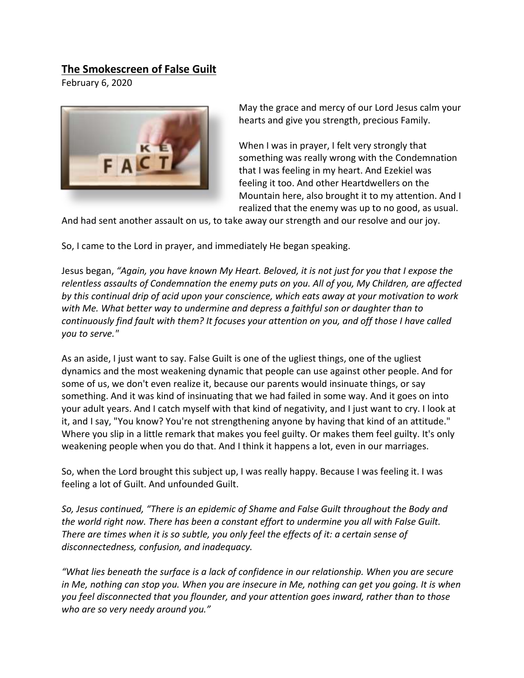## **The Smokescreen of False Guilt**

February 6, 2020



May the grace and mercy of our Lord Jesus calm your hearts and give you strength, precious Family.

When I was in prayer, I felt very strongly that something was really wrong with the Condemnation that I was feeling in my heart. And Ezekiel was feeling it too. And other Heartdwellers on the Mountain here, also brought it to my attention. And I realized that the enemy was up to no good, as usual.

And had sent another assault on us, to take away our strength and our resolve and our joy.

So, I came to the Lord in prayer, and immediately He began speaking.

Jesus began, *"Again, you have known My Heart. Beloved, it is not just for you that I expose the relentless assaults of Condemnation the enemy puts on you. All of you, My Children, are affected by this continual drip of acid upon your conscience, which eats away at your motivation to work with Me. What better way to undermine and depress a faithful son or daughter than to continuously find fault with them? It focuses your attention on you, and off those I have called you to serve."*

As an aside, I just want to say. False Guilt is one of the ugliest things, one of the ugliest dynamics and the most weakening dynamic that people can use against other people. And for some of us, we don't even realize it, because our parents would insinuate things, or say something. And it was kind of insinuating that we had failed in some way. And it goes on into your adult years. And I catch myself with that kind of negativity, and I just want to cry. I look at it, and I say, "You know? You're not strengthening anyone by having that kind of an attitude." Where you slip in a little remark that makes you feel guilty. Or makes them feel guilty. It's only weakening people when you do that. And I think it happens a lot, even in our marriages.

So, when the Lord brought this subject up, I was really happy. Because I was feeling it. I was feeling a lot of Guilt. And unfounded Guilt.

*So, Jesus continued, "There is an epidemic of Shame and False Guilt throughout the Body and the world right now. There has been a constant effort to undermine you all with False Guilt. There are times when it is so subtle, you only feel the effects of it: a certain sense of disconnectedness, confusion, and inadequacy.* 

*"What lies beneath the surface is a lack of confidence in our relationship. When you are secure*  in Me, nothing can stop you. When you are insecure in Me, nothing can get you going. It is when *you feel disconnected that you flounder, and your attention goes inward, rather than to those who are so very needy around you."*